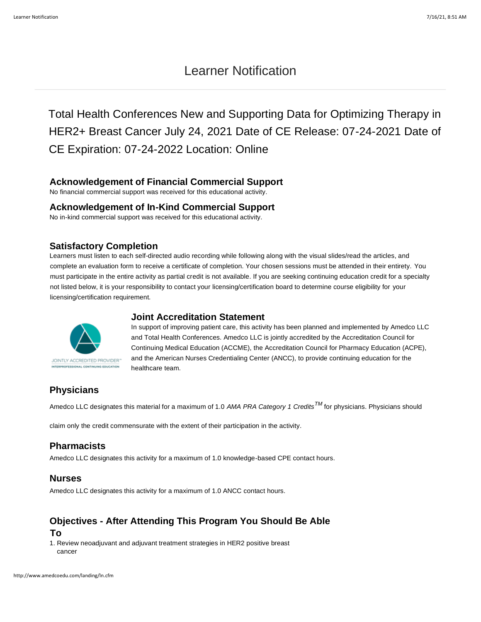# Learner Notification

Total Health Conferences New and Supporting Data for Optimizing Therapy in HER2+ Breast Cancer July 24, 2021 Date of CE Release: 07-24-2021 Date of CE Expiration: 07-24-2022 Location: Online

# **Acknowledgement of Financial Commercial Support**

No financial commercial support was received for this educational activity.

#### **Acknowledgement of In-Kind Commercial Support**

No in-kind commercial support was received for this educational activity.

### **Satisfactory Completion**

Learners must listen to each self-directed audio recording while following along with the visual slides/read the articles, and complete an evaluation form to receive a certificate of completion. Your chosen sessions must be attended in their entirety. You must participate in the entire activity as partial credit is not available. If you are seeking continuing education credit for a specialty not listed below, it is your responsibility to contact your licensing/certification board to determine course eligibility for your licensing/certification requirement.



### **Joint Accreditation Statement**

In support of improving patient care, this activity has been planned and implemented by Amedco LLC and Total Health Conferences. Amedco LLC is jointly accredited by the Accreditation Council for Continuing Medical Education (ACCME), the Accreditation Council for Pharmacy Education (ACPE), and the American Nurses Credentialing Center (ANCC), to provide continuing education for the healthcare team.

# **Physicians**

Amedco LLC designates this material for a maximum of 1.0 *AMA PRA Category 1 CreditsTM* for physicians. Physicians should

claim only the credit commensurate with the extent of their participation in the activity.

# **Pharmacists**

Amedco LLC designates this activity for a maximum of 1.0 knowledge-based CPE contact hours.

# **Nurses**

Amedco LLC designates this activity for a maximum of 1.0 ANCC contact hours.

# **Objectives - After Attending This Program You Should Be Able To**

1. Review neoadjuvant and adjuvant treatment strategies in HER2 positive breast cancer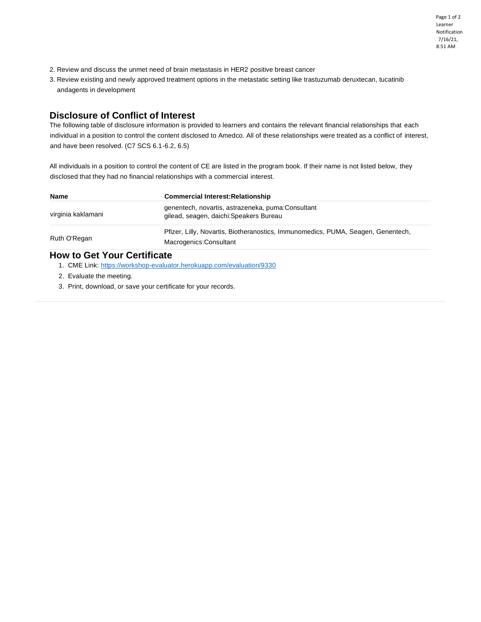Page 1 of 2 Learner Notification 7/16/21, 8:51 AM

- 2. Review and discuss the unmet need of brain metastasis in HER2 positive breast cancer
- 3. Review existing and newly approved treatment options in the metastatic setting like trastuzumab deruxtecan, tucatinib andagents in development

# **Disclosure of Conflict of Interest**

The following table of disclosure information is provided to learners and contains the relevant financial relationships that each individual in a position to control the content disclosed to Amedco. All of these relationships were treated as a conflict of interest, and have been resolved. (C7 SCS 6.1-6.2, 6.5)

All individuals in a position to control the content of CE are listed in the program book. If their name is not listed below, they disclosed that they had no financial relationships with a commercial interest.

| <b>Name</b>                                                       | <b>Commercial Interest: Relationship</b>                                                                    |
|-------------------------------------------------------------------|-------------------------------------------------------------------------------------------------------------|
| virginia kaklamani                                                | genentech, novartis, astrazeneka, puma: Consultant<br>gilead, seagen, daichi: Speakers Bureau               |
| Ruth O'Regan                                                      | Pfizer, Lilly, Novartis, Biotheranostics, Immunomedics, PUMA, Seagen, Genentech,<br>Macrogenics: Consultant |
| $U_{\alpha\mu}$ to $\Omega_{\alpha\mu}$ Vaux $\Omega_{\alpha\mu}$ |                                                                                                             |

#### **How to Get Your Certificate**

- 1. CME Link:<https://workshop-evaluator.herokuapp.com/evaluation/9330>
- 2. Evaluate the meeting.
- 3. Print, download, or save your certificate for your records.